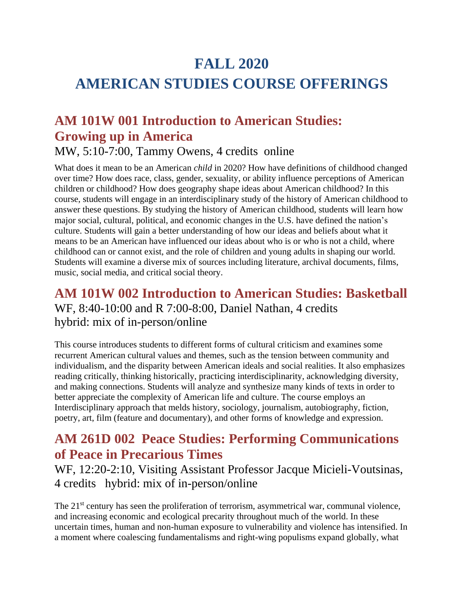# **FALL 2020 AMERICAN STUDIES COURSE OFFERINGS**

# **AM 101W 001 Introduction to American Studies: Growing up in America**

MW, 5:10-7:00, Tammy Owens, 4 credits online

What does it mean to be an American *child* in 2020? How have definitions of childhood changed over time? How does race, class, gender, sexuality, or ability influence perceptions of American children or childhood? How does geography shape ideas about American childhood? In this course, students will engage in an interdisciplinary study of the history of American childhood to answer these questions. By studying the history of American childhood, students will learn how major social, cultural, political, and economic changes in the U.S. have defined the nation's culture. Students will gain a better understanding of how our ideas and beliefs about what it means to be an American have influenced our ideas about who is or who is not a child, where childhood can or cannot exist, and the role of children and young adults in shaping our world. Students will examine a diverse mix of sources including literature, archival documents, films, music, social media, and critical social theory.

### **AM 101W 002 Introduction to American Studies: Basketball** WF, 8:40-10:00 and R 7:00-8:00, Daniel Nathan, 4 credits hybrid: mix of in-person/online

This course introduces students to different forms of cultural criticism and examines some recurrent American cultural values and themes, such as the tension between community and individualism, and the disparity between American ideals and social realities. It also emphasizes reading critically, thinking historically, practicing interdisciplinarity, acknowledging diversity, and making connections. Students will analyze and synthesize many kinds of texts in order to better appreciate the complexity of American life and culture. The course employs an Interdisciplinary approach that melds history, sociology, journalism, autobiography, fiction, poetry, art, film (feature and documentary), and other forms of knowledge and expression.

## **AM 261D 002 Peace Studies: Performing Communications of Peace in Precarious Times**

WF, 12:20-2:10, Visiting Assistant Professor Jacque Micieli-Voutsinas, 4 credits hybrid: mix of in-person/online

The 21<sup>st</sup> century has seen the proliferation of terrorism, asymmetrical war, communal violence, and increasing economic and ecological precarity throughout much of the world. In these uncertain times, human and non-human exposure to vulnerability and violence has intensified. In a moment where coalescing fundamentalisms and right-wing populisms expand globally, what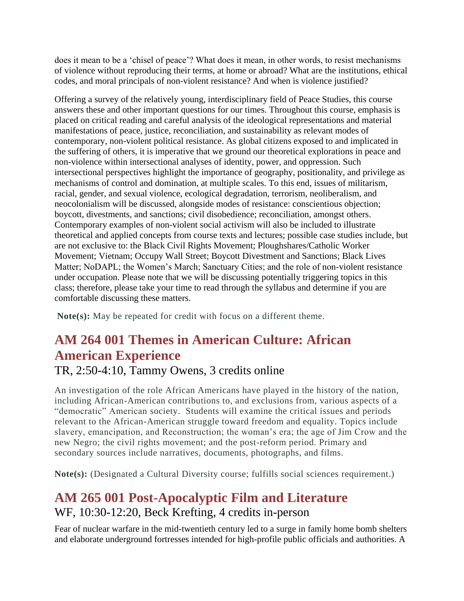does it mean to be a 'chisel of peace'? What does it mean, in other words, to resist mechanisms of violence without reproducing their terms, at home or abroad? What are the institutions, ethical codes, and moral principals of non-violent resistance? And when is violence justified?

Offering a survey of the relatively young, interdisciplinary field of Peace Studies, this course answers these and other important questions for our times. Throughout this course, emphasis is placed on critical reading and careful analysis of the ideological representations and material manifestations of peace, justice, reconciliation, and sustainability as relevant modes of contemporary, non-violent political resistance. As global citizens exposed to and implicated in the suffering of others, it is imperative that we ground our theoretical explorations in peace and non-violence within intersectional analyses of identity, power, and oppression. Such intersectional perspectives highlight the importance of geography, positionality, and privilege as mechanisms of control and domination, at multiple scales. To this end, issues of militarism, racial, gender, and sexual violence, ecological degradation, terrorism, neoliberalism, and neocolonialism will be discussed, alongside modes of resistance: conscientious objection; boycott, divestments, and sanctions; civil disobedience; reconciliation, amongst others. Contemporary examples of non-violent social activism will also be included to illustrate theoretical and applied concepts from course texts and lectures; possible case studies include, but are not exclusive to: the Black Civil Rights Movement; Ploughshares/Catholic Worker Movement; Vietnam; Occupy Wall Street; Boycott Divestment and Sanctions; Black Lives Matter; NoDAPL; the Women's March; Sanctuary Cities; and the role of non-violent resistance under occupation. Please note that we will be discussing potentially triggering topics in this class; therefore, please take your time to read through the syllabus and determine if you are comfortable discussing these matters.

**Note(s):** May be repeated for credit with focus on a different theme.

## **AM 264 001 Themes in American Culture: African American Experience**

#### TR, 2:50-4:10, Tammy Owens, 3 credits online

An investigation of the role African Americans have played in the history of the nation, including African-American contributions to, and exclusions from, various aspects of a "democratic" American society. Students will examine the critical issues and periods relevant to the African-American struggle toward freedom and equality. Topics include slavery, emancipation, and Reconstruction; the woman's era; the age of Jim Crow and the new Negro; the civil rights movement; and the post-reform period. Primary and secondary sources include narratives, documents, photographs, and films.

**Note(s):** (Designated a Cultural Diversity course; fulfills social sciences requirement.)

### **AM 265 001 Post-Apocalyptic Film and Literature** WF, 10:30-12:20, Beck Krefting, 4 credits in-person

Fear of nuclear warfare in the mid-twentieth century led to a surge in family home bomb shelters and elaborate underground fortresses intended for high-profile public officials and authorities. A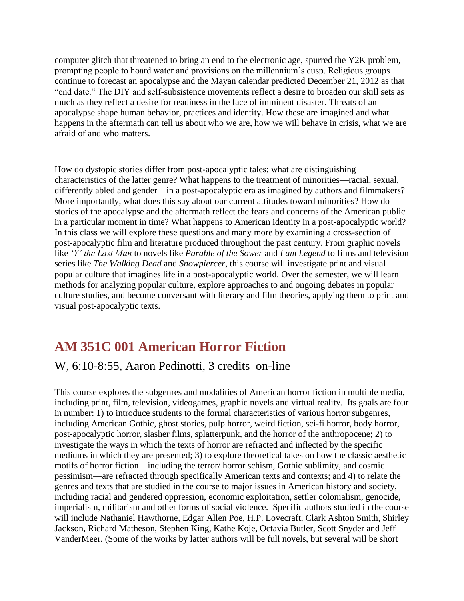computer glitch that threatened to bring an end to the electronic age, spurred the Y2K problem, prompting people to hoard water and provisions on the millennium's cusp. Religious groups continue to forecast an apocalypse and the Mayan calendar predicted December 21, 2012 as that "end date." The DIY and self-subsistence movements reflect a desire to broaden our skill sets as much as they reflect a desire for readiness in the face of imminent disaster. Threats of an apocalypse shape human behavior, practices and identity. How these are imagined and what happens in the aftermath can tell us about who we are, how we will behave in crisis, what we are afraid of and who matters.

How do dystopic stories differ from post-apocalyptic tales; what are distinguishing characteristics of the latter genre? What happens to the treatment of minorities—racial, sexual, differently abled and gender—in a post-apocalyptic era as imagined by authors and filmmakers? More importantly, what does this say about our current attitudes toward minorities? How do stories of the apocalypse and the aftermath reflect the fears and concerns of the American public in a particular moment in time? What happens to American identity in a post-apocalyptic world? In this class we will explore these questions and many more by examining a cross-section of post-apocalyptic film and literature produced throughout the past century. From graphic novels like *'Y' the Last Man* to novels like *Parable of the Sower* and *I am Legend* to films and television series like *The Walking Dead* and *Snowpiercer*, this course will investigate print and visual popular culture that imagines life in a post-apocalyptic world. Over the semester, we will learn methods for analyzing popular culture, explore approaches to and ongoing debates in popular culture studies, and become conversant with literary and film theories, applying them to print and visual post-apocalyptic texts.

## **AM 351C 001 American Horror Fiction**

#### W, 6:10-8:55, Aaron Pedinotti, 3 credits on-line

This course explores the subgenres and modalities of American horror fiction in multiple media, including print, film, television, videogames, graphic novels and virtual reality. Its goals are four in number: 1) to introduce students to the formal characteristics of various horror subgenres, including American Gothic, ghost stories, pulp horror, weird fiction, sci-fi horror, body horror, post-apocalyptic horror, slasher films, splatterpunk, and the horror of the anthropocene; 2) to investigate the ways in which the texts of horror are refracted and inflected by the specific mediums in which they are presented; 3) to explore theoretical takes on how the classic aesthetic motifs of horror fiction—including the terror/ horror schism, Gothic sublimity, and cosmic pessimism—are refracted through specifically American texts and contexts; and 4) to relate the genres and texts that are studied in the course to major issues in American history and society, including racial and gendered oppression, economic exploitation, settler colonialism, genocide, imperialism, militarism and other forms of social violence. Specific authors studied in the course will include Nathaniel Hawthorne, Edgar Allen Poe, H.P. Lovecraft, Clark Ashton Smith, Shirley Jackson, Richard Matheson, Stephen King, Kathe Koje, Octavia Butler, Scott Snyder and Jeff VanderMeer. (Some of the works by latter authors will be full novels, but several will be short